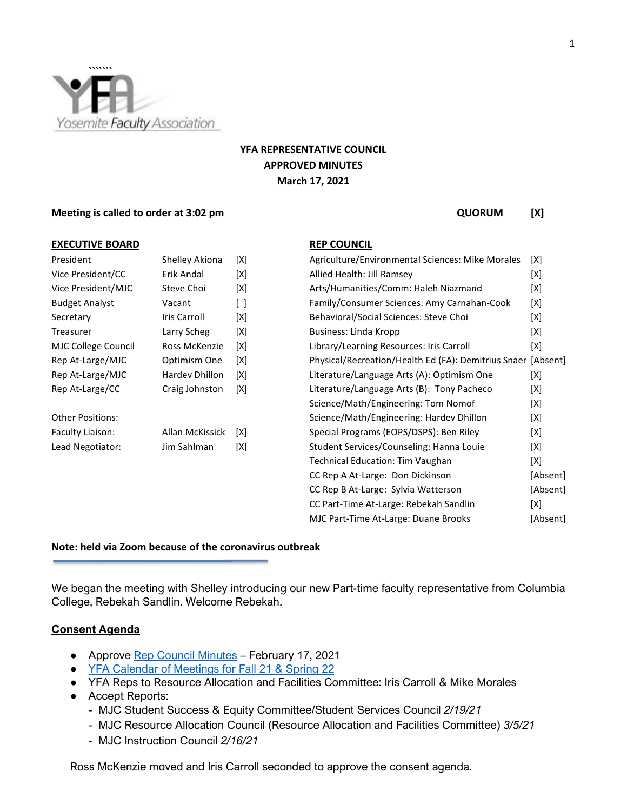

# **YFA REPRESENTATIVE COUNCIL APPROVED MINUTES March 17, 2021**

### **Meeting is called to order at 3:02 pm QUORUM** [X]

#### **EXECUTIVE BOARD REP COUNCIL**

| <b>Shelley Akiona</b> | [X]        |
|-----------------------|------------|
| Erik Andal            | [X]        |
| Steve Choi            | [X]        |
| Vacant ——             | $\boxplus$ |
| Iris Carroll          | [X]        |
| Larry Scheg           | [X]        |
| Ross McKenzie         | [X]        |
| Optimism One          | [X]        |
| Hardey Dhillon        | [X]        |
| Craig Johnston        | [X]        |
|                       |            |
| Allan McKissick       | [X]        |
| Jim Sahlman           | [X]        |
|                       |            |

| President             | Shelley Akiona  | [X] | Agriculture/Environmental Sciences: Mike Morales             | [X]      |
|-----------------------|-----------------|-----|--------------------------------------------------------------|----------|
| Vice President/CC     | Erik Andal      | [X] | Allied Health: Jill Ramsey                                   | [X]      |
| Vice President/MJC    | Steve Choi      | [X] | Arts/Humanities/Comm: Haleh Niazmand                         | [X]      |
| <b>Budget Analyst</b> | Vacant          |     | Family/Consumer Sciences: Amy Carnahan-Cook                  | [X]      |
| Secretary             | Iris Carroll    | [X] | Behavioral/Social Sciences: Steve Choi                       | [X]      |
| Treasurer             | Larry Scheg     | [X] | Business: Linda Kropp                                        | [X]      |
| MJC College Council   | Ross McKenzie   | [X] | Library/Learning Resources: Iris Carroll                     | [X]      |
| Rep At-Large/MJC      | Optimism One    | [X] | Physical/Recreation/Health Ed (FA): Demitrius Snaer [Absent] |          |
| Rep At-Large/MJC      | Hardev Dhillon  | [X] | Literature/Language Arts (A): Optimism One                   | [X]      |
| Rep At-Large/CC       | Craig Johnston  | [X] | Literature/Language Arts (B): Tony Pacheco                   | [X]      |
|                       |                 |     | Science/Math/Engineering: Tom Nomof                          | [X]      |
| Other Positions:      |                 |     | Science/Math/Engineering: Hardev Dhillon                     | [X]      |
| Faculty Liaison:      | Allan McKissick | [X] | Special Programs (EOPS/DSPS): Ben Riley                      | [X]      |
| Lead Negotiator:      | Jim Sahlman     | [X] | Student Services/Counseling: Hanna Louie                     | [X]      |
|                       |                 |     | Technical Education: Tim Vaughan                             | [X]      |
|                       |                 |     | CC Rep A At-Large: Don Dickinson                             | [Absent] |
|                       |                 |     | CC Rep B At-Large: Sylvia Watterson                          | [Absent] |
|                       |                 |     | CC Part-Time At-Large: Rebekah Sandlin                       | [X]      |
|                       |                 |     | MJC Part-Time At-Large: Duane Brooks                         | [Absent] |

# **Note: held via Zoom because of the coronavirus outbreak**

We began the meeting with Shelley introducing our new Part-time faculty representative from Columbia College, Rebekah Sandlin. Welcome Rebekah.

## **Consent Agenda**

- Approve [Rep Council Minutes](https://docs.google.com/document/d/1Turys-RDH-oInBmu3o0gcSU_kZAXZSrDsZBrV_ii0jg/edit?usp=sharing) February 17, 2021
- [YFA Calendar of Meetings for Fall 21 & Spring 22](https://docs.google.com/document/d/1hsL7I-N95llCclZmTz0UwplzN5euY0wQtLBxoVaiGug/edit?usp=sharing)
- YFA Reps to Resource Allocation and Facilities Committee: Iris Carroll & Mike Morales
- Accept Reports:
	- MJC Student Success & Equity Committee/Student Services Council *2/19/21*
	- MJC Resource Allocation Council (Resource Allocation and Facilities Committee) *3/5/21*
	- MJC Instruction Council *2/16/21*

Ross McKenzie moved and Iris Carroll seconded to approve the consent agenda.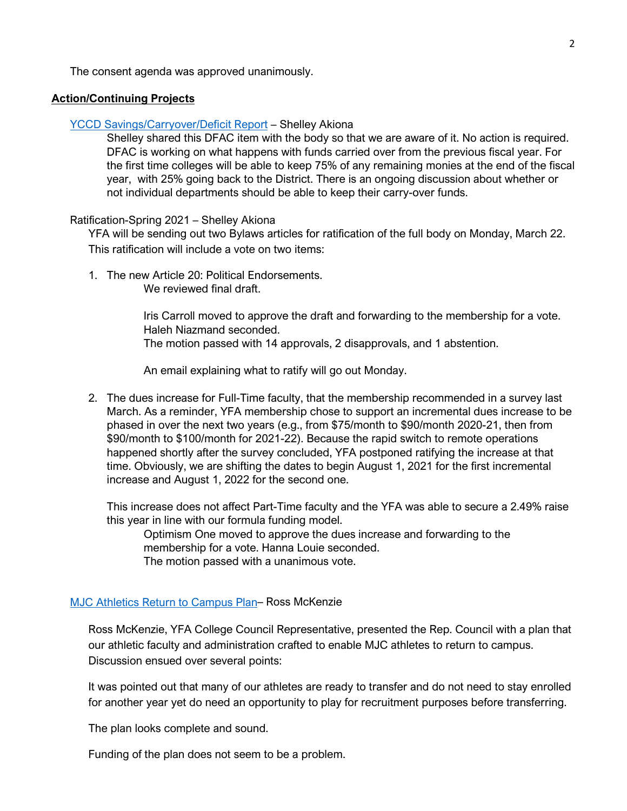The consent agenda was approved unanimously.

## **Action/Continuing Projects**

#### [YCCD Savings/Carryover/Deficit Report](https://drive.google.com/file/d/1BJirZjxv8_aWBiSyu6tkCWZDixzKS-2R/view?usp=sharing) – Shelley Akiona

Shelley shared this DFAC item with the body so that we are aware of it. No action is required. DFAC is working on what happens with funds carried over from the previous fiscal year. For the first time colleges will be able to keep 75% of any remaining monies at the end of the fiscal year, with 25% going back to the District. There is an ongoing discussion about whether or not individual departments should be able to keep their carry-over funds.

## Ratification-Spring 2021 – Shelley Akiona

YFA will be sending out two Bylaws articles for ratification of the full body on Monday, March 22. This ratification will include a vote on two items:

1. The new Article 20: Political Endorsements. We reviewed final draft.

> Iris Carroll moved to approve the draft and forwarding to the membership for a vote. Haleh Niazmand seconded. The motion passed with 14 approvals, 2 disapprovals, and 1 abstention.

An email explaining what to ratify will go out Monday.

2. The dues increase for Full-Time faculty, that the membership recommended in a survey last March. As a reminder, YFA membership chose to support an incremental dues increase to be phased in over the next two years (e.g., from \$75/month to \$90/month 2020-21, then from \$90/month to \$100/month for 2021-22). Because the rapid switch to remote operations happened shortly after the survey concluded, YFA postponed ratifying the increase at that time. Obviously, we are shifting the dates to begin August 1, 2021 for the first incremental increase and August 1, 2022 for the second one.

This increase does not affect Part-Time faculty and the YFA was able to secure a 2.49% raise this year in line with our formula funding model.

Optimism One moved to approve the dues increase and forwarding to the membership for a vote. Hanna Louie seconded.

The motion passed with a unanimous vote.

# [MJC Athletics Return to Campus Plan–](https://drive.google.com/file/d/16a06RuUdBofAYrISEzTe2n0cjKuIE112/view?usp=sharing) Ross McKenzie

Ross McKenzie, YFA College Council Representative, presented the Rep. Council with a plan that our athletic faculty and administration crafted to enable MJC athletes to return to campus. Discussion ensued over several points:

It was pointed out that many of our athletes are ready to transfer and do not need to stay enrolled for another year yet do need an opportunity to play for recruitment purposes before transferring.

The plan looks complete and sound.

Funding of the plan does not seem to be a problem.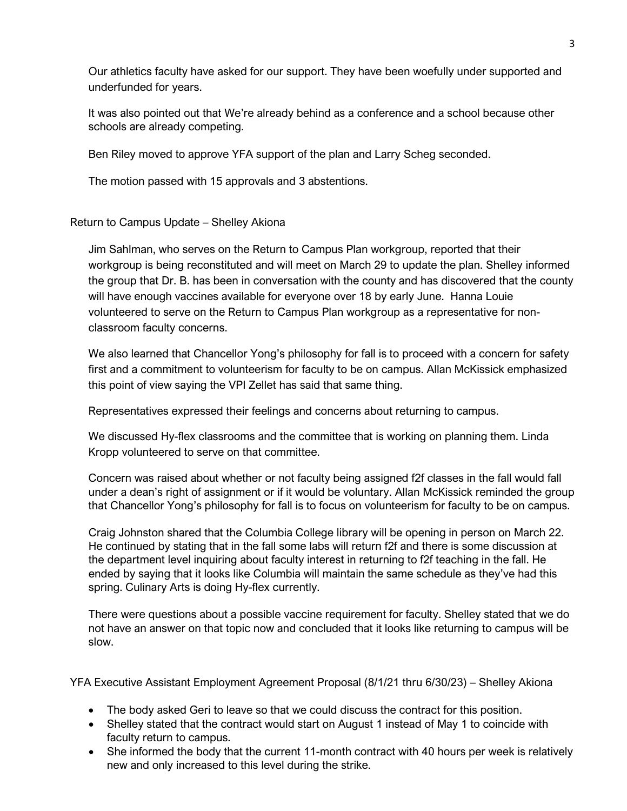Our athletics faculty have asked for our support. They have been woefully under supported and underfunded for years.

It was also pointed out that We're already behind as a conference and a school because other schools are already competing.

Ben Riley moved to approve YFA support of the plan and Larry Scheg seconded.

The motion passed with 15 approvals and 3 abstentions.

# Return to Campus Update – Shelley Akiona

Jim Sahlman, who serves on the Return to Campus Plan workgroup, reported that their workgroup is being reconstituted and will meet on March 29 to update the plan. Shelley informed the group that Dr. B. has been in conversation with the county and has discovered that the county will have enough vaccines available for everyone over 18 by early June. Hanna Louie volunteered to serve on the Return to Campus Plan workgroup as a representative for nonclassroom faculty concerns.

We also learned that Chancellor Yong's philosophy for fall is to proceed with a concern for safety first and a commitment to volunteerism for faculty to be on campus. Allan McKissick emphasized this point of view saying the VPI Zellet has said that same thing.

Representatives expressed their feelings and concerns about returning to campus.

We discussed Hy-flex classrooms and the committee that is working on planning them. Linda Kropp volunteered to serve on that committee.

Concern was raised about whether or not faculty being assigned f2f classes in the fall would fall under a dean's right of assignment or if it would be voluntary. Allan McKissick reminded the group that Chancellor Yong's philosophy for fall is to focus on volunteerism for faculty to be on campus.

Craig Johnston shared that the Columbia College library will be opening in person on March 22. He continued by stating that in the fall some labs will return f2f and there is some discussion at the department level inquiring about faculty interest in returning to f2f teaching in the fall. He ended by saying that it looks like Columbia will maintain the same schedule as they've had this spring. Culinary Arts is doing Hy-flex currently.

There were questions about a possible vaccine requirement for faculty. Shelley stated that we do not have an answer on that topic now and concluded that it looks like returning to campus will be slow.

YFA Executive Assistant Employment Agreement Proposal (8/1/21 thru 6/30/23) – Shelley Akiona

- The body asked Geri to leave so that we could discuss the contract for this position.
- Shelley stated that the contract would start on August 1 instead of May 1 to coincide with faculty return to campus.
- She informed the body that the current 11-month contract with 40 hours per week is relatively new and only increased to this level during the strike.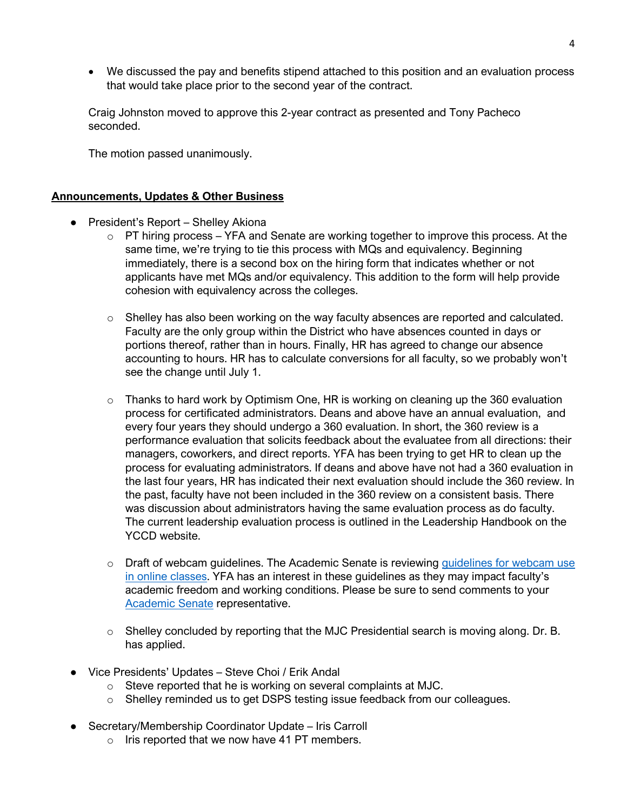• We discussed the pay and benefits stipend attached to this position and an evaluation process that would take place prior to the second year of the contract.

Craig Johnston moved to approve this 2-year contract as presented and Tony Pacheco seconded.

The motion passed unanimously.

# **Announcements, Updates & Other Business**

- President's Report Shelley Akiona
	- $\circ$  PT hiring process YFA and Senate are working together to improve this process. At the same time, we're trying to tie this process with MQs and equivalency. Beginning immediately, there is a second box on the hiring form that indicates whether or not applicants have met MQs and/or equivalency. This addition to the form will help provide cohesion with equivalency across the colleges.
	- $\circ$  Shelley has also been working on the way faculty absences are reported and calculated. Faculty are the only group within the District who have absences counted in days or portions thereof, rather than in hours. Finally, HR has agreed to change our absence accounting to hours. HR has to calculate conversions for all faculty, so we probably won't see the change until July 1.
	- o Thanks to hard work by Optimism One, HR is working on cleaning up the 360 evaluation process for certificated administrators. Deans and above have an annual evaluation, and every four years they should undergo a 360 evaluation. In short, the 360 review is a performance evaluation that solicits feedback about the evaluatee from all directions: their managers, coworkers, and direct reports. YFA has been trying to get HR to clean up the process for evaluating administrators. If deans and above have not had a 360 evaluation in the last four years, HR has indicated their next evaluation should include the 360 review. In the past, faculty have not been included in the 360 review on a consistent basis. There was discussion about administrators having the same evaluation process as do faculty. The current leadership evaluation process is outlined in the Leadership Handbook on the YCCD website.
	- o Draft of webcam guidelines. The Academic Senate is reviewing guidelines for webcam use [in online classes.](https://libguides.mjc.edu/ld.php?content_id=60566863) YFA has an interest in these guidelines as they may impact faculty's academic freedom and working conditions. Please be sure to send comments to your [Academic Senate](https://www.mjc.edu/governance/academicsenate/) representative.
	- $\circ$  Shelley concluded by reporting that the MJC Presidential search is moving along. Dr. B. has applied.
- Vice Presidents' Updates Steve Choi / Erik Andal
	- o Steve reported that he is working on several complaints at MJC.
	- o Shelley reminded us to get DSPS testing issue feedback from our colleagues.
- Secretary/Membership Coordinator Update Iris Carroll
	- $\circ$  Iris reported that we now have 41 PT members.